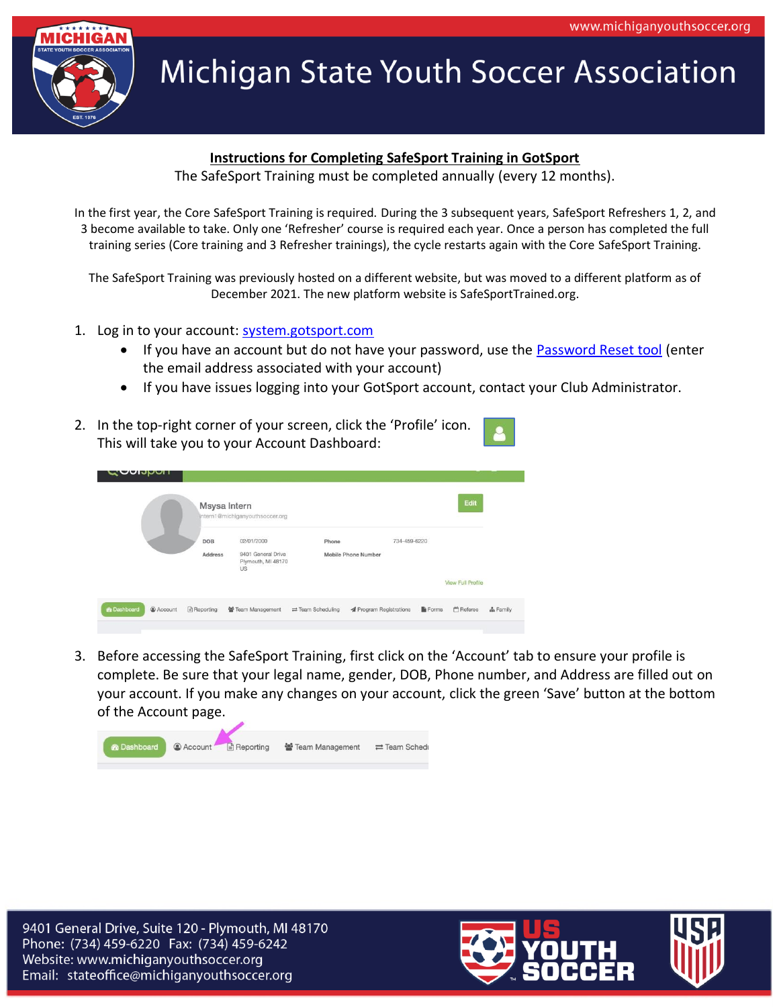

## **Instructions for Completing SafeSport Training in GotSport**

The SafeSport Training must be completed annually (every 12 months).

In the first year, the Core SafeSport Training is required. During the 3 subsequent years, SafeSport Refreshers 1, 2, and 3 become available to take. Only one 'Refresher' course is required each year. Once a person has completed the full training series (Core training and 3 Refresher trainings), the cycle restarts again with the Core SafeSport Training.

The SafeSport Training was previously hosted on a different website, but was moved to a different platform as of December 2021. The new platform website is SafeSportTrained.org.

- 1. Log in to your account: [system.gotsport.com](https://system.gotsport.com/)
	- If you have an account but do not have your password, use the **Password Reset tool** (enter the email address associated with your account)
	- If you have issues logging into your GotSport account, contact your Club Administrator.
- 2. In the top-right corner of your screen, click the 'Profile' icon. This will take you to your Account Dashboard:

| <b>OUNDUIT</b>                      | Msysa Intern     | intern1@michiganyouthsoccer.org                              |                                    |                                            |       | Edit                     |          |
|-------------------------------------|------------------|--------------------------------------------------------------|------------------------------------|--------------------------------------------|-------|--------------------------|----------|
|                                     | DOB<br>Address   | 02/01/2000<br>9401 General Drive<br>Plymouth, MI 48170<br>US | Phone                              | 734-459-6220<br><b>Mobile Phone Number</b> |       | <b>View Full Profile</b> |          |
| <b>&amp;</b> Dashboard<br>@ Account | <b>Reporting</b> | 警 Team Management                                            | $\rightleftarrows$ Team Scheduling | <b>A</b> Program Registrations             | Forms | Referee                  | & Family |

3. Before accessing the SafeSport Training, first click on the 'Account' tab to ensure your profile is complete. Be sure that your legal name, gender, DOB, Phone number, and Address are filled out on your account. If you make any changes on your account, click the green 'Save' button at the bottom of the Account page.



9401 General Drive, Suite 120 - Plymouth, MI 48170 Phone: (734) 459-6220 Fax: (734) 459-6242 Website: www.michiganyouthsoccer.org Email: stateoffice@michiganyouthsoccer.org

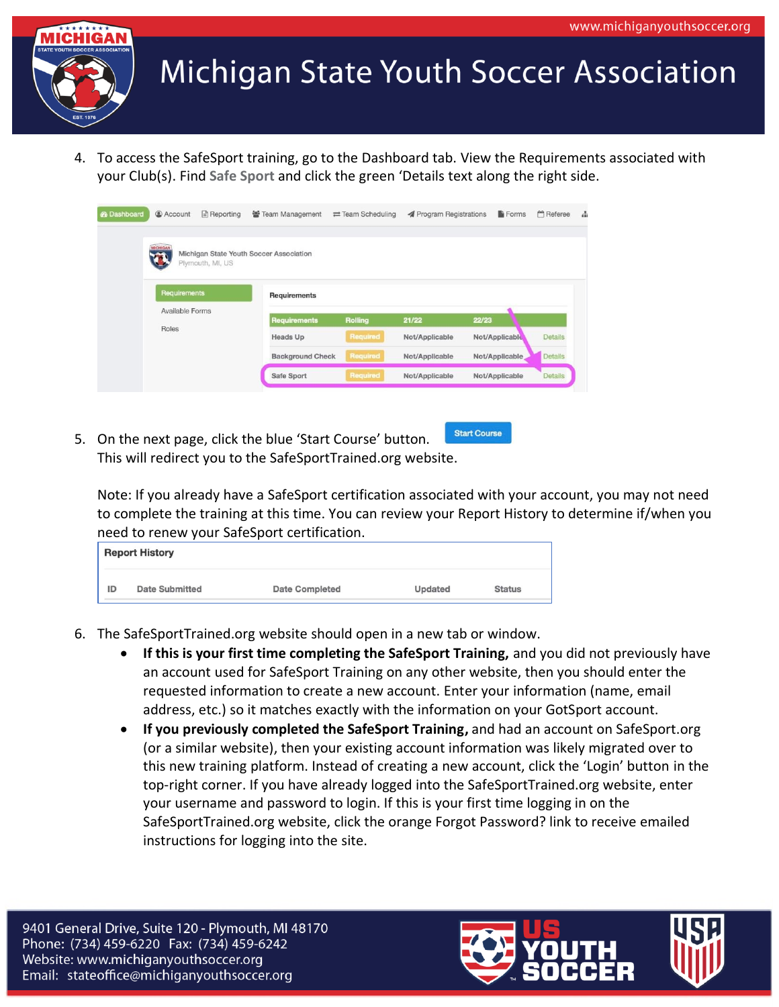

4. To access the SafeSport training, go to the Dashboard tab. View the Requirements associated with your Club(s). Find **Safe Sport** and click the green 'Details text along the right side.

| <b>B</b> Dashboard | @ Account       | Reporting        | ₩ Team Management                       | $\rightleftarrows$ Team Scheduling | <b>A</b> Program Registrations | <b>Forms</b>   | <b>M</b> Referee |
|--------------------|-----------------|------------------|-----------------------------------------|------------------------------------|--------------------------------|----------------|------------------|
|                    | <b>MICHIGAN</b> | Plymouth, MI, US | Michigan State Youth Soccer Association |                                    |                                |                |                  |
|                    | Requirements    |                  | <b>Requirements</b>                     |                                    |                                |                |                  |
|                    | Available Forms |                  | <b>Requirements</b>                     | <b>Rolling</b>                     | 21/22                          | 22/23          |                  |
|                    | Roles           |                  | <b>Heads Up</b>                         | Required                           | Not/Applicable                 | Not/Applicable | <b>Details</b>   |
|                    |                 |                  | <b>Background Check</b>                 | <b>Required</b>                    | Not/Applicable                 | Not/Applicable | Details          |
|                    |                 |                  |                                         |                                    |                                |                |                  |

**Start Course** 5. On the next page, click the blue 'Start Course' button. This will redirect you to the SafeSportTrained.org website.

Note: If you already have a SafeSport certification associated with your account, you may not need to complete the training at this time. You can review your Report History to determine if/when you need to renew your SafeSport certification.

|    | <b>Report History</b> |                       |         |               |
|----|-----------------------|-----------------------|---------|---------------|
| ID | <b>Date Submitted</b> | <b>Date Completed</b> | Updated | <b>Status</b> |

- 6. The SafeSportTrained.org website should open in a new tab or window.
	- **If this is your first time completing the SafeSport Training,** and you did not previously have an account used for SafeSport Training on any other website, then you should enter the requested information to create a new account. Enter your information (name, email address, etc.) so it matches exactly with the information on your GotSport account.
	- **If you previously completed the SafeSport Training,** and had an account on SafeSport.org (or a similar website), then your existing account information was likely migrated over to this new training platform. Instead of creating a new account, click the 'Login' button in the top-right corner. If you have already logged into the SafeSportTrained.org website, enter your username and password to login. If this is your first time logging in on the SafeSportTrained.org website, click the orange Forgot Password? link to receive emailed instructions for logging into the site.

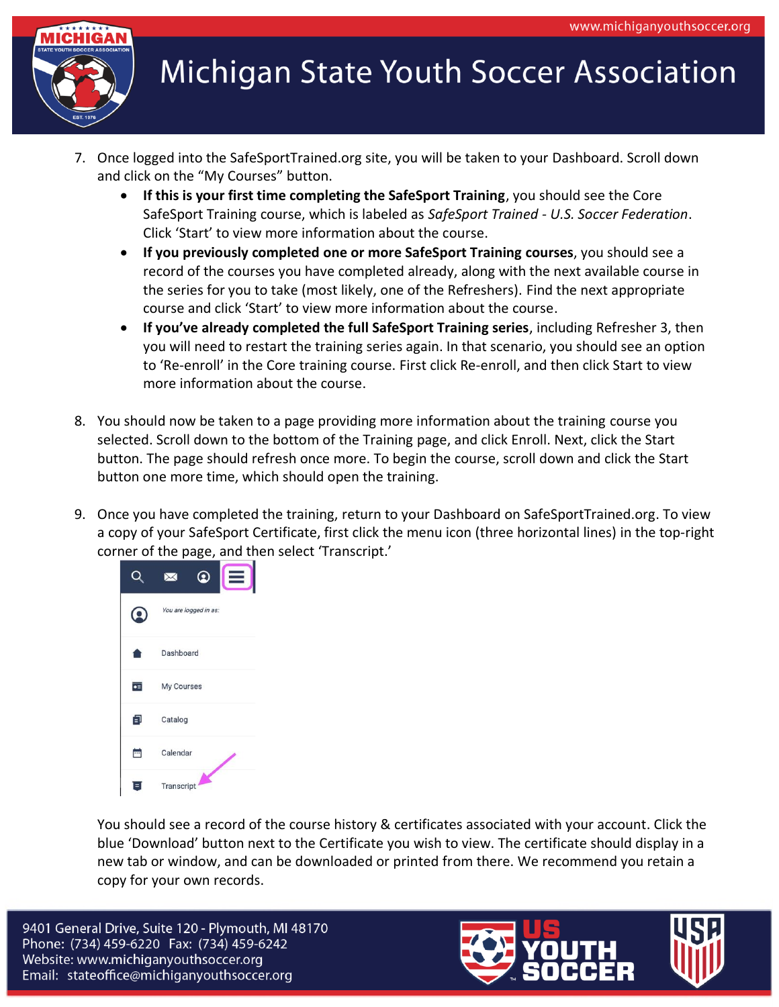

- 7. Once logged into the SafeSportTrained.org site, you will be taken to your Dashboard. Scroll down and click on the "My Courses" button.
	- **If this is your first time completing the SafeSport Training**, you should see the Core SafeSport Training course, which is labeled as *SafeSport Trained - U.S. Soccer Federation*. Click 'Start' to view more information about the course.
	- **If you previously completed one or more SafeSport Training courses**, you should see a record of the courses you have completed already, along with the next available course in the series for you to take (most likely, one of the Refreshers). Find the next appropriate course and click 'Start' to view more information about the course.
	- **If you've already completed the full SafeSport Training series**, including Refresher 3, then you will need to restart the training series again. In that scenario, you should see an option to 'Re-enroll' in the Core training course. First click Re-enroll, and then click Start to view more information about the course.
- 8. You should now be taken to a page providing more information about the training course you selected. Scroll down to the bottom of the Training page, and click Enroll. Next, click the Start button. The page should refresh once more. To begin the course, scroll down and click the Start button one more time, which should open the training.
- 9. Once you have completed the training, return to your Dashboard on SafeSportTrained.org. To view a copy of your SafeSport Certificate, first click the menu icon (three horizontal lines) in the top-right corner of the page, and then select 'Transcript.'



You should see a record of the course history & certificates associated with your account. Click the blue 'Download' button next to the Certificate you wish to view. The certificate should display in a new tab or window, and can be downloaded or printed from there. We recommend you retain a copy for your own records.

9401 General Drive, Suite 120 - Plymouth, MI 48170 Phone: (734) 459-6220 Fax: (734) 459-6242 Website: www.michiganyouthsoccer.org Email: stateoffice@michiganyouthsoccer.org

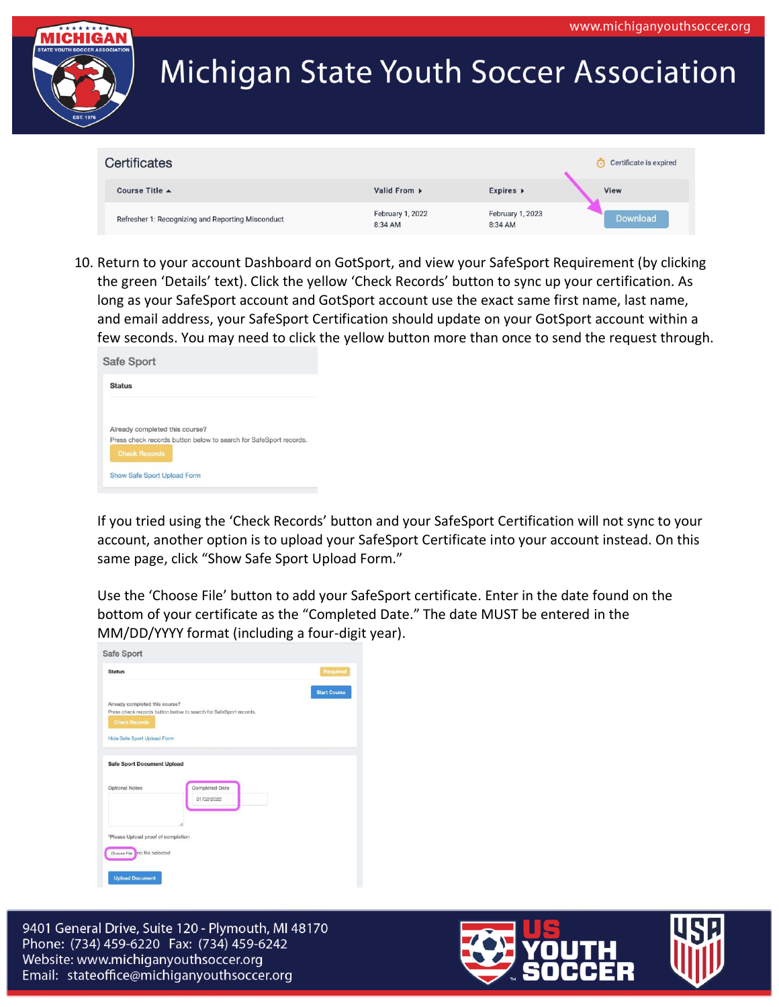

| Certificates                                      |                             |                             | Certificate is expired |
|---------------------------------------------------|-----------------------------|-----------------------------|------------------------|
| Course Title $\triangle$                          | Valid From $\rightarrow$    | Expires $\triangleright$    | View                   |
| Refresher 1: Recognizing and Reporting Misconduct | February 1, 2022<br>8:34 AM | February 1, 2023<br>8:34 AM | Download               |

10. Return to your account Dashboard on GotSport, and view your SafeSport Requirement (by clicking the green 'Details' text). Click the yellow 'Check Records' button to sync up your certification. As long as your SafeSport account and GotSport account use the exact same first name, last name, and email address, your SafeSport Certification should update on your GotSport account within a few seconds. You may need to click the yellow button more than once to send the request through.

| Safe Sport                     |                                                                   |
|--------------------------------|-------------------------------------------------------------------|
| <b>Status</b>                  |                                                                   |
| Already completed this course? |                                                                   |
| <b>Check Records</b>           | Press check records button below to search for SafeSport records. |
| Show Safe Sport Upload Form    |                                                                   |

If you tried using the 'Check Records' button and your SafeSport Certification will not sync to your account, another option is to upload your SafeSport Certificate into your account instead. On this same page, click "Show Safe Sport Upload Form."

Use the 'Choose File' button to add your SafeSport certificate. Enter in the date found on the bottom of your certificate as the "Completed Date." The date MUST be entered in the MM/DD/YYYY format (including a four-digit year).

| <b>Status</b>                                                                                                                       |                                                                   | Required            |
|-------------------------------------------------------------------------------------------------------------------------------------|-------------------------------------------------------------------|---------------------|
|                                                                                                                                     |                                                                   | <b>Start Course</b> |
| Already completed this course?                                                                                                      |                                                                   |                     |
|                                                                                                                                     | Press check records button below to search for SafeSport records. |                     |
| <b>Check Records</b>                                                                                                                |                                                                   |                     |
|                                                                                                                                     |                                                                   |                     |
| <b>Hide Safe Sport Upload Form</b>                                                                                                  |                                                                   |                     |
|                                                                                                                                     |                                                                   |                     |
|                                                                                                                                     |                                                                   |                     |
|                                                                                                                                     |                                                                   |                     |
|                                                                                                                                     |                                                                   |                     |
|                                                                                                                                     |                                                                   |                     |
|                                                                                                                                     |                                                                   |                     |
|                                                                                                                                     | <b>Completed Date</b>                                             |                     |
|                                                                                                                                     | 01/02/2022                                                        |                     |
|                                                                                                                                     |                                                                   |                     |
|                                                                                                                                     |                                                                   |                     |
|                                                                                                                                     |                                                                   |                     |
|                                                                                                                                     |                                                                   |                     |
|                                                                                                                                     |                                                                   |                     |
|                                                                                                                                     |                                                                   |                     |
| <b>Safe Sport Document Upload</b><br><b>Optional Notes</b><br>*Please Upload proof of completion<br>no file selected<br>Choose File |                                                                   |                     |

9401 General Drive, Suite 120 - Plymouth, MI 48170 Phone: (734) 459-6220 Fax: (734) 459-6242 Website: www.michiganyouthsoccer.org Email: stateoffice@michiganyouthsoccer.org